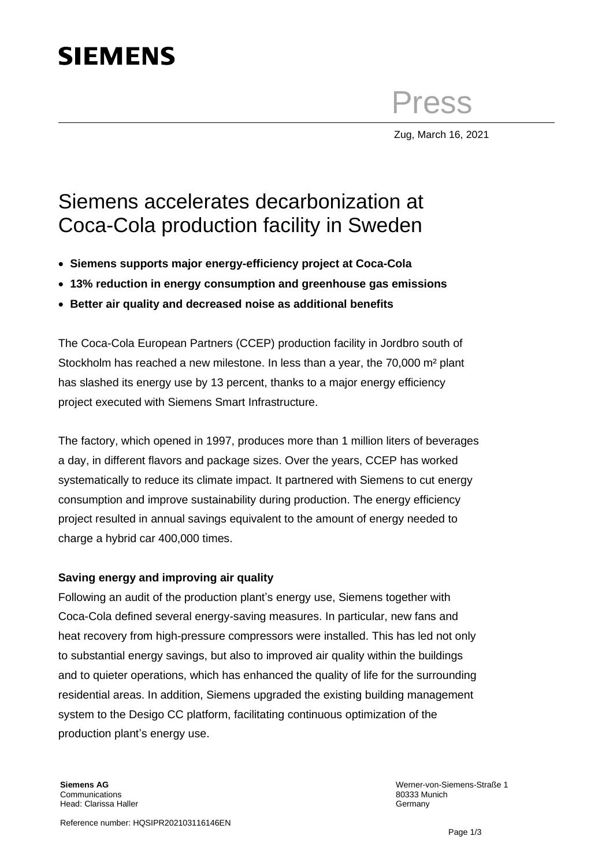## **SIEMENS**

Press

Zug, March 16, 2021

## Siemens accelerates decarbonization at Coca-Cola production facility in Sweden

- **Siemens supports major energy-efficiency project at Coca-Cola**
- **13% reduction in energy consumption and greenhouse gas emissions**
- **Better air quality and decreased noise as additional benefits**

The Coca-Cola European Partners (CCEP) production facility in Jordbro south of Stockholm has reached a new milestone. In less than a year, the 70,000 m² plant has slashed its energy use by 13 percent, thanks to a major energy efficiency project executed with Siemens Smart Infrastructure.

The factory, which opened in 1997, produces more than 1 million liters of beverages a day, in different flavors and package sizes. Over the years, CCEP has worked systematically to reduce its climate impact. It partnered with Siemens to cut energy consumption and improve sustainability during production. The energy efficiency project resulted in annual savings equivalent to the amount of energy needed to charge a hybrid car 400,000 times.

## **Saving energy and improving air quality**

Following an audit of the production plant's energy use, Siemens together with Coca-Cola defined several energy-saving measures. In particular, new fans and heat recovery from high-pressure compressors were installed. This has led not only to substantial energy savings, but also to improved air quality within the buildings and to quieter operations, which has enhanced the quality of life for the surrounding residential areas. In addition, Siemens upgraded the existing building management system to the Desigo CC platform, facilitating continuous optimization of the production plant's energy use.

Werner-von-Siemens-Straße 1 80333 Munich Germany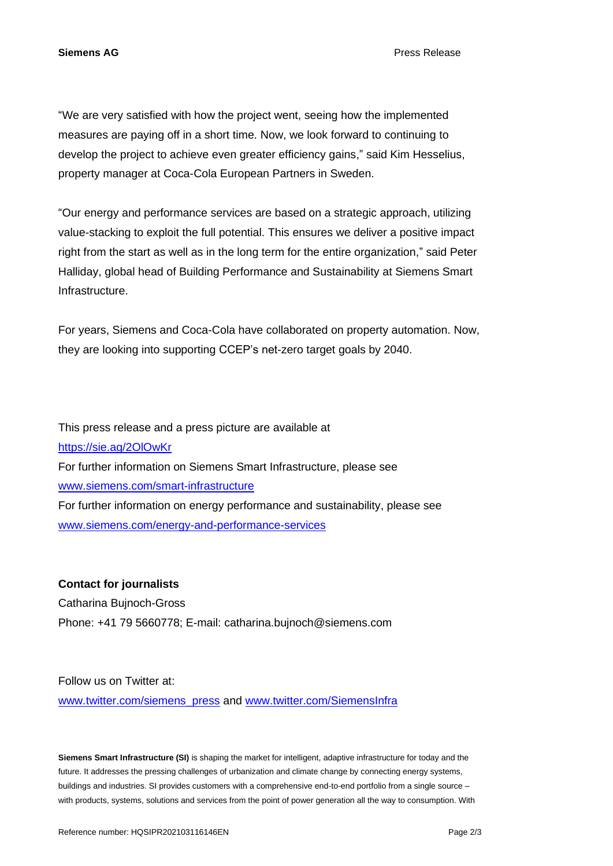**Siemens AG** Press Release

"We are very satisfied with how the project went, seeing how the implemented measures are paying off in a short time. Now, we look forward to continuing to develop the project to achieve even greater efficiency gains," said Kim Hesselius, property manager at Coca-Cola European Partners in Sweden.

"Our energy and performance services are based on a strategic approach, utilizing value-stacking to exploit the full potential. This ensures we deliver a positive impact right from the start as well as in the long term for the entire organization," said Peter Halliday, global head of Building Performance and Sustainability at Siemens Smart Infrastructure.

For years, Siemens and Coca-Cola have collaborated on property automation. Now, they are looking into supporting CCEP's net-zero target goals by 2040.

This press release and a press picture are available at <https://sie.ag/2OlOwKr> For further information on Siemens Smart Infrastructure, please see [www.siemens.com/smart-infrastructure](http://www.siemens.com/smart-infrastructure) For further information on energy performance and sustainability, please see [www.siemens.com/energy-and-performance-services](http://www.siemens.com/energy-and-performance-services)

**Contact for journalists** Catharina Bujnoch-Gross Phone: +41 79 5660778; E-mail: catharina.bujnoch@siemens.com

Follow us on Twitter at:

[www.twitter.com/siemens\\_press](http://www.twitter.com/siemens_press) and [www.twitter.com/SiemensInfra](http://www.twitter.com/SiemensInfra)

**Siemens Smart Infrastructure (SI)** is shaping the market for intelligent, adaptive infrastructure for today and the future. It addresses the pressing challenges of urbanization and climate change by connecting energy systems, buildings and industries. SI provides customers with a comprehensive end-to-end portfolio from a single source – with products, systems, solutions and services from the point of power generation all the way to consumption. With